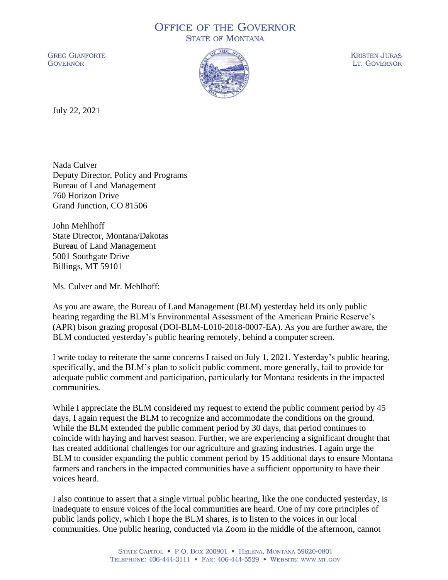## **OFFICE OF THE GOVERNOR STATE OF MONTANA**

**GREG GIANFORTE GOVERNOR** 



**KRISTEN JURAS** LT. GOVERNOR

July 22, 2021

Nada Culver Deputy Director, Policy and Programs Bureau of Land Management 760 Horizon Drive Grand Junction, CO 81506

John Mehlhoff State Director, Montana/Dakotas Bureau of Land Management 5001 Southgate Drive Billings, MT 59101

Ms. Culver and Mr. Mehlhoff:

As you are aware, the Bureau of Land Management (BLM) yesterday held its only public hearing regarding the BLM's Environmental Assessment of the American Prairie Reserve's (APR) bison grazing proposal (DOI-BLM-L010-2018-0007-EA). As you are further aware, the BLM conducted yesterday's public hearing remotely, behind a computer screen.

I write today to reiterate the same concerns I raised on July 1, 2021. Yesterday's public hearing, specifically, and the BLM's plan to solicit public comment, more generally, fail to provide for adequate public comment and participation, particularly for Montana residents in the impacted communities.

While I appreciate the BLM considered my request to extend the public comment period by 45 days, I again request the BLM to recognize and accommodate the conditions on the ground. While the BLM extended the public comment period by 30 days, that period continues to coincide with haying and harvest season. Further, we are experiencing a significant drought that has created additional challenges for our agriculture and grazing industries. I again urge the BLM to consider expanding the public comment period by 15 additional days to ensure Montana farmers and ranchers in the impacted communities have a sufficient opportunity to have their voices heard.

I also continue to assert that a single virtual public hearing, like the one conducted yesterday, is inadequate to ensure voices of the local communities are heard. One of my core principles of public lands policy, which I hope the BLM shares, is to listen to the voices in our local communities. One public hearing, conducted via Zoom in the middle of the afternoon, cannot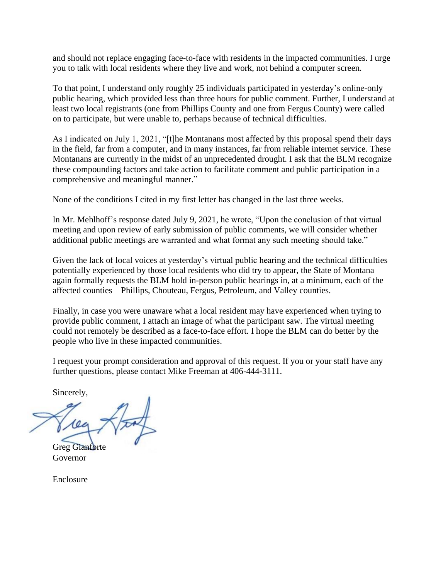and should not replace engaging face-to-face with residents in the impacted communities. I urge you to talk with local residents where they live and work, not behind a computer screen.

To that point, I understand only roughly 25 individuals participated in yesterday's online-only public hearing, which provided less than three hours for public comment. Further, I understand at least two local registrants (one from Phillips County and one from Fergus County) were called on to participate, but were unable to, perhaps because of technical difficulties.

As I indicated on July 1, 2021, "[t]he Montanans most affected by this proposal spend their days in the field, far from a computer, and in many instances, far from reliable internet service. These Montanans are currently in the midst of an unprecedented drought. I ask that the BLM recognize these compounding factors and take action to facilitate comment and public participation in a comprehensive and meaningful manner."

None of the conditions I cited in my first letter has changed in the last three weeks.

In Mr. Mehlhoff's response dated July 9, 2021, he wrote, "Upon the conclusion of that virtual meeting and upon review of early submission of public comments, we will consider whether additional public meetings are warranted and what format any such meeting should take."

Given the lack of local voices at yesterday's virtual public hearing and the technical difficulties potentially experienced by those local residents who did try to appear, the State of Montana again formally requests the BLM hold in-person public hearings in, at a minimum, each of the affected counties – Phillips, Chouteau, Fergus, Petroleum, and Valley counties.

Finally, in case you were unaware what a local resident may have experienced when trying to provide public comment, I attach an image of what the participant saw. The virtual meeting could not remotely be described as a face-to-face effort. I hope the BLM can do better by the people who live in these impacted communities.

I request your prompt consideration and approval of this request. If you or your staff have any further questions, please contact Mike Freeman at 406-444-3111.

Sincerely,

Greg Gianforte Governor

Enclosure